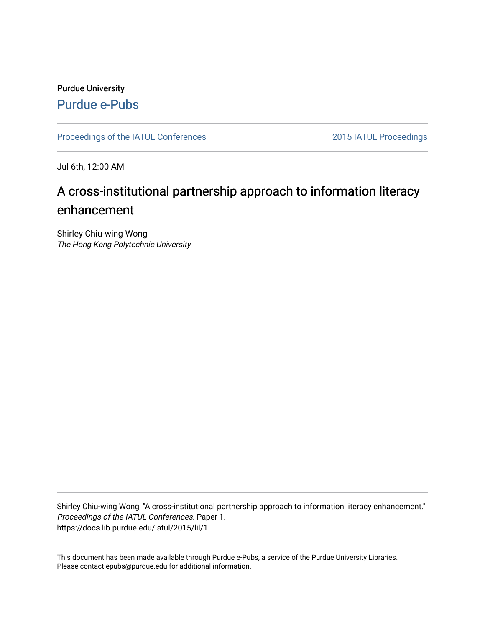### Purdue University [Purdue e-Pubs](https://docs.lib.purdue.edu/)

[Proceedings of the IATUL Conferences](https://docs.lib.purdue.edu/iatul) 2015 2015 2015 2015 2015 2015 2015 1ATUL Proceedings

Jul 6th, 12:00 AM

# A cross-institutional partnership approach to information literacy enhancement

Shirley Chiu-wing Wong The Hong Kong Polytechnic University

Shirley Chiu-wing Wong, "A cross-institutional partnership approach to information literacy enhancement." Proceedings of the IATUL Conferences. Paper 1. https://docs.lib.purdue.edu/iatul/2015/lil/1

This document has been made available through Purdue e-Pubs, a service of the Purdue University Libraries. Please contact epubs@purdue.edu for additional information.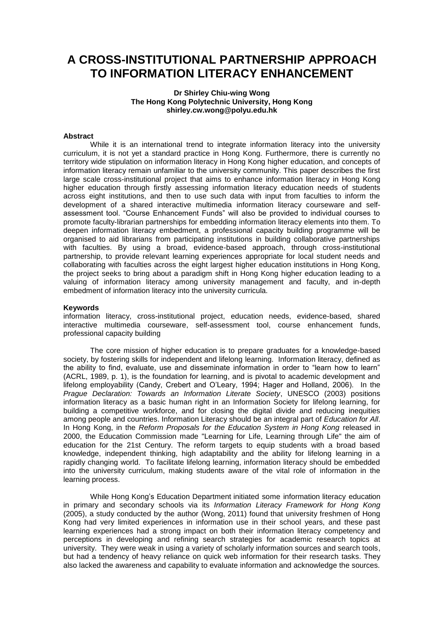## **A CROSS-INSTITUTIONAL PARTNERSHIP APPROACH TO INFORMATION LITERACY ENHANCEMENT**

#### **Dr Shirley Chiu-wing Wong The Hong Kong Polytechnic University, Hong Kong shirley.cw.wong@polyu.edu.hk**

#### **Abstract**

While it is an international trend to integrate information literacy into the university curriculum, it is not yet a standard practice in Hong Kong. Furthermore, there is currently no territory wide stipulation on information literacy in Hong Kong higher education, and concepts of information literacy remain unfamiliar to the university community. This paper describes the first large scale cross-institutional project that aims to enhance information literacy in Hong Kong higher education through firstly assessing information literacy education needs of students across eight institutions, and then to use such data with input from faculties to inform the development of a shared interactive multimedia information literacy courseware and selfassessment tool. "Course Enhancement Funds" will also be provided to individual courses to promote faculty-librarian partnerships for embedding information literacy elements into them. To deepen information literacy embedment, a professional capacity building programme will be organised to aid librarians from participating institutions in building collaborative partnerships with faculties. By using a broad, evidence-based approach, through cross-institutional partnership, to provide relevant learning experiences appropriate for local student needs and collaborating with faculties across the eight largest higher education institutions in Hong Kong, the project seeks to bring about a paradigm shift in Hong Kong higher education leading to a valuing of information literacy among university management and faculty, and in-depth embedment of information literacy into the university curricula.

#### **Keywords**

information literacy, cross-institutional project, education needs, evidence-based, shared interactive multimedia courseware, self-assessment tool, course enhancement funds, professional capacity building

The core mission of higher education is to prepare graduates for a knowledge-based society, by fostering skills for independent and lifelong learning. Information literacy, defined as the ability to find, evaluate, use and disseminate information in order to "learn how to learn" (ACRL, 1989, p. 1), is the foundation for learning, and is pivotal to academic development and lifelong employability (Candy, Crebert and O'Leary, 1994; Hager and Holland, 2006). In the *Prague Declaration: Towards an Information Literate Society*, UNESCO (2003) positions information literacy as a basic human right in an Information Society for lifelong learning, for building a competitive workforce, and for closing the digital divide and reducing inequities among people and countries. Information Literacy should be an integral part of *Education for All*. In Hong Kong, in the *Reform Proposals for the Education System in Hong Kong released in* 2000, the Education Commission made "Learning for Life, Learning through Life" the aim of education for the 21st Century. The reform targets to equip students with a broad based knowledge, independent thinking, high adaptability and the ability for lifelong learning in a rapidly changing world. To facilitate lifelong learning, information literacy should be embedded into the university curriculum, making students aware of the vital role of information in the learning process.

While Hong Kong's Education Department initiated some information literacy education in primary and secondary schools via its *Information Literacy Framework for Hong Kong* (2005), a study conducted by the author (Wong, 2011) found that university freshmen of Hong Kong had very limited experiences in information use in their school years, and these past learning experiences had a strong impact on both their information literacy competency and perceptions in developing and refining search strategies for academic research topics at university. They were weak in using a variety of scholarly information sources and search tools, but had a tendency of heavy reliance on quick web information for their research tasks. They also lacked the awareness and capability to evaluate information and acknowledge the sources.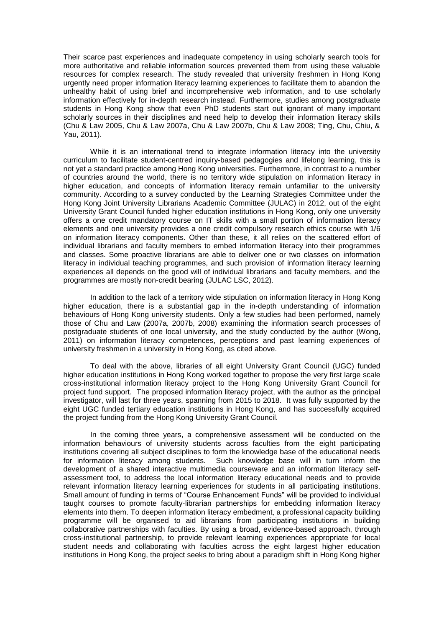Their scarce past experiences and inadequate competency in using scholarly search tools for more authoritative and reliable information sources prevented them from using these valuable resources for complex research. The study revealed that university freshmen in Hong Kong urgently need proper information literacy learning experiences to facilitate them to abandon the unhealthy habit of using brief and incomprehensive web information, and to use scholarly information effectively for in-depth research instead. Furthermore, studies among postgraduate students in Hong Kong show that even PhD students start out ignorant of many important scholarly sources in their disciplines and need help to develop their information literacy skills (Chu & Law 2005, Chu & Law 2007a, Chu & Law 2007b, Chu & Law 2008; Ting, Chu, Chiu, & Yau, 2011).

While it is an international trend to integrate information literacy into the university curriculum to facilitate student-centred inquiry-based pedagogies and lifelong learning, this is not yet a standard practice among Hong Kong universities. Furthermore, in contrast to a number of countries around the world, there is no territory wide stipulation on information literacy in higher education, and concepts of information literacy remain unfamiliar to the university community. According to a survey conducted by the Learning Strategies Committee under the Hong Kong Joint University Librarians Academic Committee (JULAC) in 2012, out of the eight University Grant Council funded higher education institutions in Hong Kong, only one university offers a one credit mandatory course on IT skills with a small portion of information literacy elements and one university provides a one credit compulsory research ethics course with 1/6 on information literacy components. Other than these, it all relies on the scattered effort of individual librarians and faculty members to embed information literacy into their programmes and classes. Some proactive librarians are able to deliver one or two classes on information literacy in individual teaching programmes, and such provision of information literacy learning experiences all depends on the good will of individual librarians and faculty members, and the programmes are mostly non-credit bearing (JULAC LSC, 2012).

In addition to the lack of a territory wide stipulation on information literacy in Hong Kong higher education, there is a substantial gap in the in-depth understanding of information behaviours of Hong Kong university students. Only a few studies had been performed, namely those of Chu and Law (2007a, 2007b, 2008) examining the information search processes of postgraduate students of one local university, and the study conducted by the author (Wong, 2011) on information literacy competences, perceptions and past learning experiences of university freshmen in a university in Hong Kong, as cited above.

To deal with the above, libraries of all eight University Grant Council (UGC) funded higher education institutions in Hong Kong worked together to propose the very first large scale cross-institutional information literacy project to the Hong Kong University Grant Council for project fund support. The proposed information literacy project, with the author as the principal investigator, will last for three years, spanning from 2015 to 2018. It was fully supported by the eight UGC funded tertiary education institutions in Hong Kong, and has successfully acquired the project funding from the Hong Kong University Grant Council.

In the coming three years, a comprehensive assessment will be conducted on the information behaviours of university students across faculties from the eight participating institutions covering all subject disciplines to form the knowledge base of the educational needs for information literacy among students. Such knowledge base will in turn inform the development of a shared interactive multimedia courseware and an information literacy selfassessment tool, to address the local information literacy educational needs and to provide relevant information literacy learning experiences for students in all participating institutions. Small amount of funding in terms of "Course Enhancement Funds" will be provided to individual taught courses to promote faculty-librarian partnerships for embedding information literacy elements into them. To deepen information literacy embedment, a professional capacity building programme will be organised to aid librarians from participating institutions in building collaborative partnerships with faculties. By using a broad, evidence-based approach, through cross-institutional partnership, to provide relevant learning experiences appropriate for local student needs and collaborating with faculties across the eight largest higher education institutions in Hong Kong, the project seeks to bring about a paradigm shift in Hong Kong higher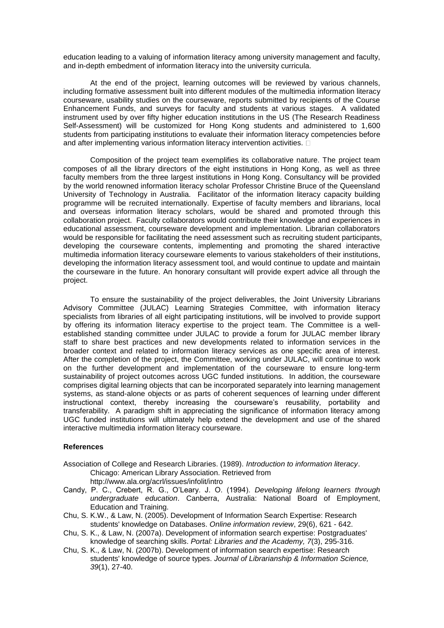education leading to a valuing of information literacy among university management and faculty, and in-depth embedment of information literacy into the university curricula.

At the end of the project, learning outcomes will be reviewed by various channels, including formative assessment built into different modules of the multimedia information literacy courseware, usability studies on the courseware, reports submitted by recipients of the Course Enhancement Funds, and surveys for faculty and students at various stages. A validated instrument used by over fifty higher education institutions in the US (The Research Readiness Self-Assessment) will be customized for Hong Kong students and administered to 1,600 students from participating institutions to evaluate their information literacy competencies before and after implementing various information literacy intervention activities.  $\square$ 

Composition of the project team exemplifies its collaborative nature. The project team composes of all the library directors of the eight institutions in Hong Kong, as well as three faculty members from the three largest institutions in Hong Kong. Consultancy will be provided by the world renowned information literacy scholar Professor Christine Bruce of the Queensland University of Technology in Australia. Facilitator of the information literacy capacity building programme will be recruited internationally. Expertise of faculty members and librarians, local and overseas information literacy scholars, would be shared and promoted through this collaboration project. Faculty collaborators would contribute their knowledge and experiences in educational assessment, courseware development and implementation. Librarian collaborators would be responsible for facilitating the need assessment such as recruiting student participants, developing the courseware contents, implementing and promoting the shared interactive multimedia information literacy courseware elements to various stakeholders of their institutions, developing the information literacy assessment tool, and would continue to update and maintain the courseware in the future. An honorary consultant will provide expert advice all through the project.

To ensure the sustainability of the project deliverables, the Joint University Librarians Advisory Committee (JULAC) Learning Strategies Committee, with information literacy specialists from libraries of all eight participating institutions, will be involved to provide support by offering its information literacy expertise to the project team. The Committee is a wellestablished standing committee under JULAC to provide a forum for JULAC member library staff to share best practices and new developments related to information services in the broader context and related to information literacy services as one specific area of interest. After the completion of the project, the Committee, working under JULAC, will continue to work on the further development and implementation of the courseware to ensure long-term sustainability of project outcomes across UGC funded institutions. In addition, the courseware comprises digital learning objects that can be incorporated separately into learning management systems, as stand-alone objects or as parts of coherent sequences of learning under different instructional context, thereby increasing the courseware's reusability, portability and transferability. A paradigm shift in appreciating the significance of information literacy among UGC funded institutions will ultimately help extend the development and use of the shared interactive multimedia information literacy courseware.

#### **References**

- Association of College and Research Libraries. (1989). *Introduction to information literacy*. Chicago: American Library Association. Retrieved from http://www.ala.org/acrl/issues/infolit/intro
- Candy, P. C., Crebert, R. G., O'Leary. J. O. (1994). *Developing lifelong learners through undergraduate education*. Canberra, Australia: National Board of Employment, Education and Training.
- Chu, S. K.W., & Law, N. (2005). Development of Information Search Expertise: Research students' knowledge on Databases. *Online information review*, 29(6), 621 - 642.
- Chu, S. K., & Law, N. (2007a). Development of information search expertise: Postgraduates' knowledge of searching skills. *Portal: Libraries and the Academy, 7*(3), 295-316.
- Chu, S. K., & Law, N. (2007b). Development of information search expertise: Research students' knowledge of source types. *Journal of Librarianship & Information Science, 39*(1), 27-40.